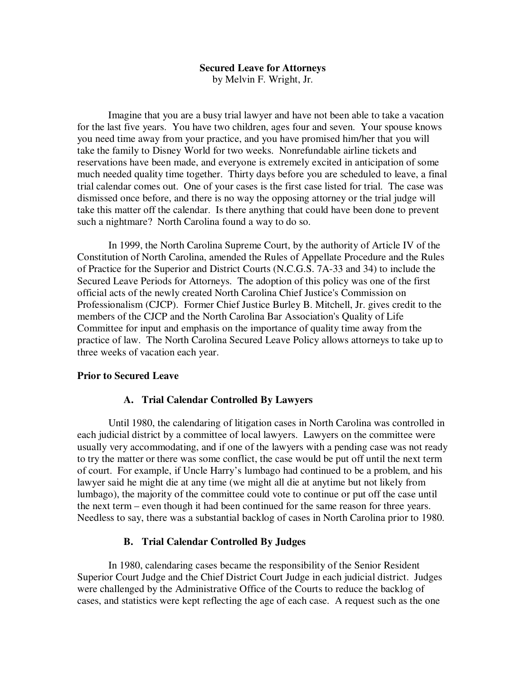#### **Secured Leave for Attorneys**  by Melvin F. Wright, Jr.

Imagine that you are a busy trial lawyer and have not been able to take a vacation for the last five years. You have two children, ages four and seven. Your spouse knows you need time away from your practice, and you have promised him/her that you will take the family to Disney World for two weeks. Nonrefundable airline tickets and reservations have been made, and everyone is extremely excited in anticipation of some much needed quality time together. Thirty days before you are scheduled to leave, a final trial calendar comes out. One of your cases is the first case listed for trial. The case was dismissed once before, and there is no way the opposing attorney or the trial judge will take this matter off the calendar. Is there anything that could have been done to prevent such a nightmare? North Carolina found a way to do so.

 In 1999, the North Carolina Supreme Court, by the authority of Article IV of the Constitution of North Carolina, amended the Rules of Appellate Procedure and the Rules of Practice for the Superior and District Courts (N.C.G.S. 7A-33 and 34) to include the Secured Leave Periods for Attorneys. The adoption of this policy was one of the first official acts of the newly created North Carolina Chief Justice's Commission on Professionalism (CJCP). Former Chief Justice Burley B. Mitchell, Jr. gives credit to the members of the CJCP and the North Carolina Bar Association's Quality of Life Committee for input and emphasis on the importance of quality time away from the practice of law. The North Carolina Secured Leave Policy allows attorneys to take up to three weeks of vacation each year.

#### **Prior to Secured Leave**

#### **A. Trial Calendar Controlled By Lawyers**

 Until 1980, the calendaring of litigation cases in North Carolina was controlled in each judicial district by a committee of local lawyers. Lawyers on the committee were usually very accommodating, and if one of the lawyers with a pending case was not ready to try the matter or there was some conflict, the case would be put off until the next term of court. For example, if Uncle Harry's lumbago had continued to be a problem, and his lawyer said he might die at any time (we might all die at anytime but not likely from lumbago), the majority of the committee could vote to continue or put off the case until the next term – even though it had been continued for the same reason for three years. Needless to say, there was a substantial backlog of cases in North Carolina prior to 1980.

#### **B. Trial Calendar Controlled By Judges**

 In 1980, calendaring cases became the responsibility of the Senior Resident Superior Court Judge and the Chief District Court Judge in each judicial district. Judges were challenged by the Administrative Office of the Courts to reduce the backlog of cases, and statistics were kept reflecting the age of each case. A request such as the one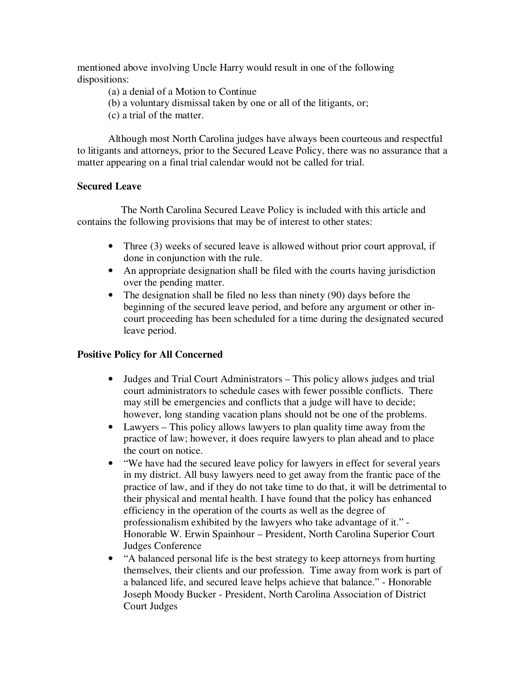mentioned above involving Uncle Harry would result in one of the following dispositions:

- (a) a denial of a Motion to Continue
- (b) a voluntary dismissal taken by one or all of the litigants, or;
- (c) a trial of the matter.

Although most North Carolina judges have always been courteous and respectful to litigants and attorneys, prior to the Secured Leave Policy, there was no assurance that a matter appearing on a final trial calendar would not be called for trial.

## **Secured Leave**

 The North Carolina Secured Leave Policy is included with this article and contains the following provisions that may be of interest to other states:

- Three (3) weeks of secured leave is allowed without prior court approval, if done in conjunction with the rule.
- An appropriate designation shall be filed with the courts having jurisdiction over the pending matter.
- The designation shall be filed no less than ninety (90) days before the beginning of the secured leave period, and before any argument or other incourt proceeding has been scheduled for a time during the designated secured leave period.

# **Positive Policy for All Concerned**

- Judges and Trial Court Administrators This policy allows judges and trial court administrators to schedule cases with fewer possible conflicts. There may still be emergencies and conflicts that a judge will have to decide; however, long standing vacation plans should not be one of the problems.
- Lawyers This policy allows lawyers to plan quality time away from the practice of law; however, it does require lawyers to plan ahead and to place the court on notice.
- "We have had the secured leave policy for lawyers in effect for several years in my district. All busy lawyers need to get away from the frantic pace of the practice of law, and if they do not take time to do that, it will be detrimental to their physical and mental health. I have found that the policy has enhanced efficiency in the operation of the courts as well as the degree of professionalism exhibited by the lawyers who take advantage of it." - Honorable W. Erwin Spainhour – President, North Carolina Superior Court Judges Conference
- "A balanced personal life is the best strategy to keep attorneys from hurting themselves, their clients and our profession. Time away from work is part of a balanced life, and secured leave helps achieve that balance." - Honorable Joseph Moody Bucker - President, North Carolina Association of District Court Judges